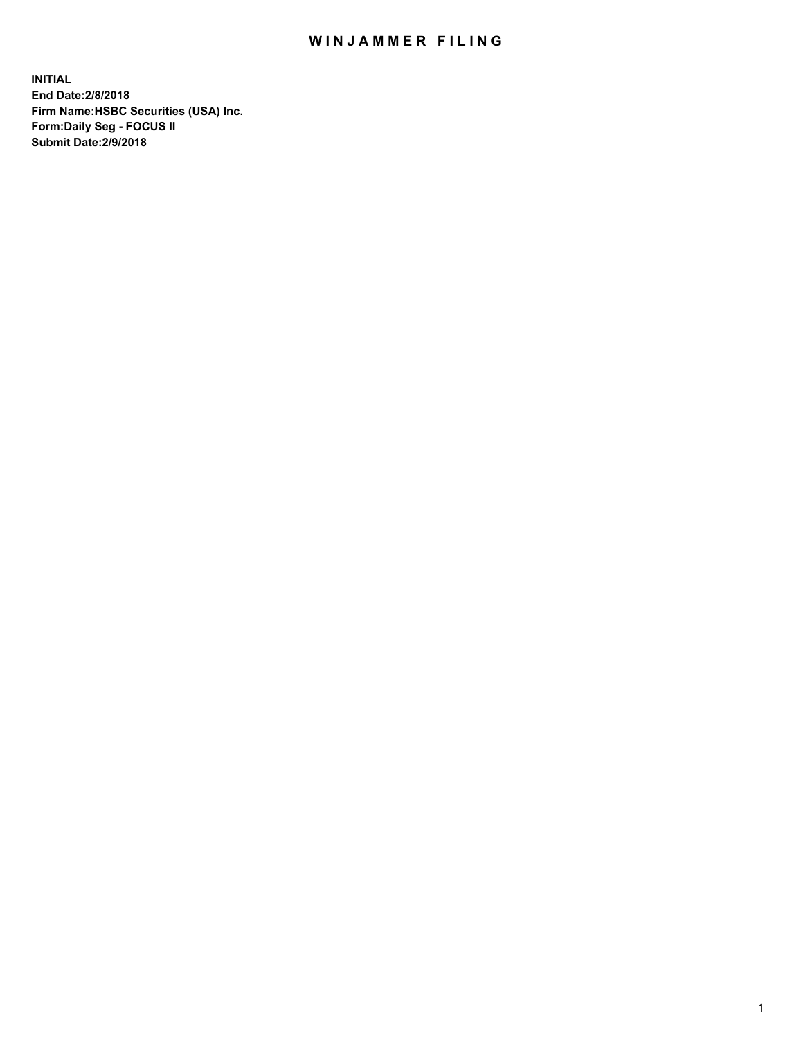## WIN JAMMER FILING

**INITIAL End Date:2/8/2018 Firm Name:HSBC Securities (USA) Inc. Form:Daily Seg - FOCUS II Submit Date:2/9/2018**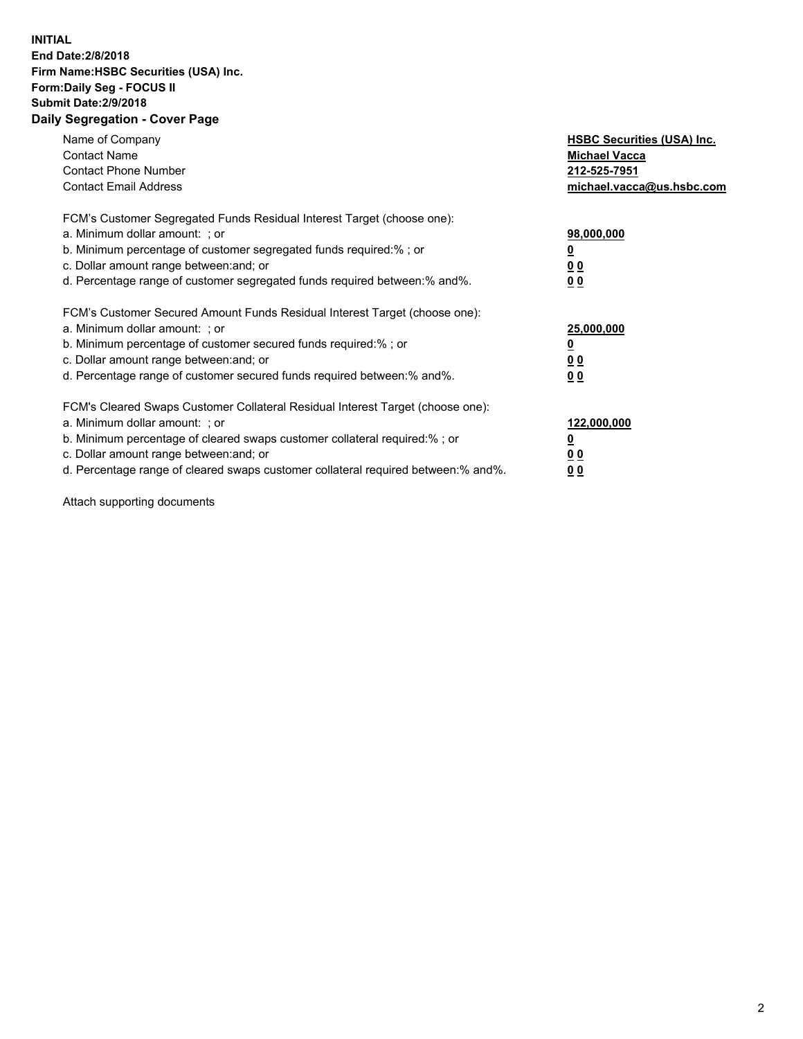## **INITIAL End Date:2/8/2018 Firm Name:HSBC Securities (USA) Inc. Form:Daily Seg - FOCUS II Submit Date:2/9/2018 Daily Segregation - Cover Page**

| Name of Company<br><b>Contact Name</b><br><b>Contact Phone Number</b><br><b>Contact Email Address</b>                                                                                                                                                                                                                         | <b>HSBC Securities (USA) Inc.</b><br><b>Michael Vacca</b><br>212-525-7951<br>michael.vacca@us.hsbc.com |
|-------------------------------------------------------------------------------------------------------------------------------------------------------------------------------------------------------------------------------------------------------------------------------------------------------------------------------|--------------------------------------------------------------------------------------------------------|
| FCM's Customer Segregated Funds Residual Interest Target (choose one):<br>a. Minimum dollar amount: ; or<br>b. Minimum percentage of customer segregated funds required:%; or<br>c. Dollar amount range between: and; or<br>d. Percentage range of customer segregated funds required between: % and %.                       | 98,000,000<br><u>0</u><br><u>00</u><br><u>00</u>                                                       |
| FCM's Customer Secured Amount Funds Residual Interest Target (choose one):<br>a. Minimum dollar amount: ; or<br>b. Minimum percentage of customer secured funds required:%; or<br>c. Dollar amount range between: and; or<br>d. Percentage range of customer secured funds required between: % and %.                         | 25,000,000<br><u>0</u><br><u>00</u><br>00                                                              |
| FCM's Cleared Swaps Customer Collateral Residual Interest Target (choose one):<br>a. Minimum dollar amount: ; or<br>b. Minimum percentage of cleared swaps customer collateral required:%; or<br>c. Dollar amount range between: and; or<br>d. Percentage range of cleared swaps customer collateral required between:% and%. | 122,000,000<br><u>0</u><br><u>00</u><br><u>00</u>                                                      |

Attach supporting documents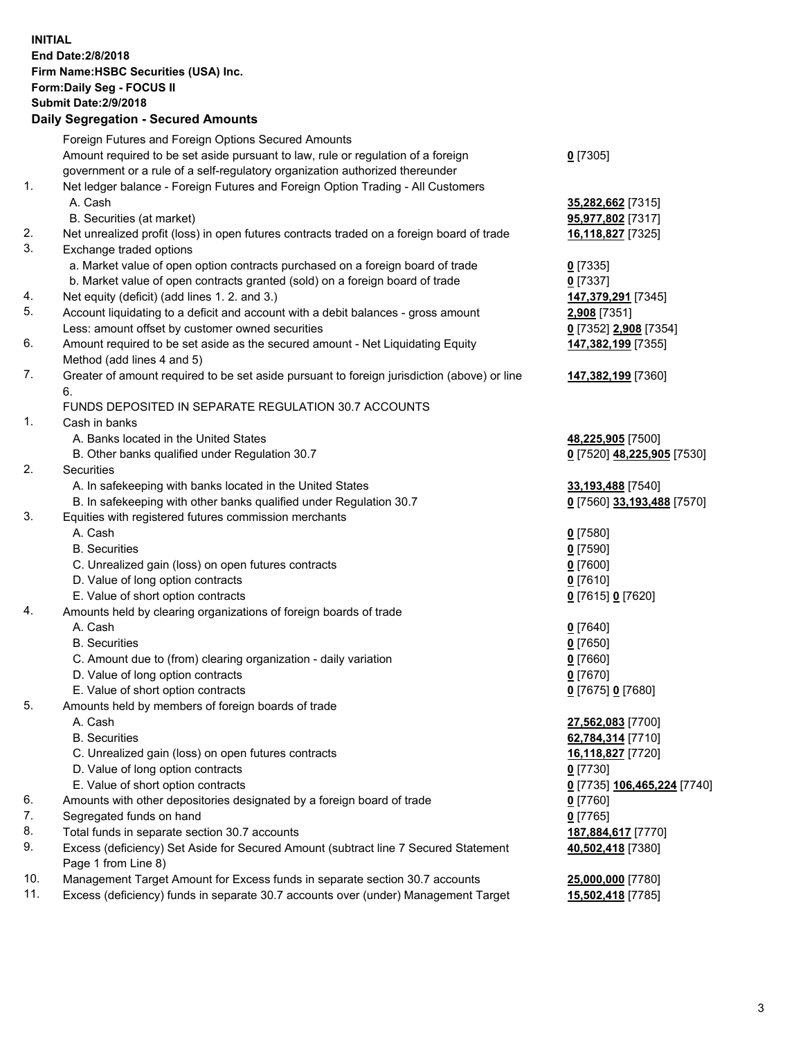**INITIAL End Date:2/8/2018 Firm Name:HSBC Securities (USA) Inc. Form:Daily Seg - FOCUS II Submit Date:2/9/2018 Daily Segregation - Secured Amounts** Foreign Futures and Foreign Options Secured Amounts Amount required to be set aside pursuant to law, rule or regulation of a foreign government or a rule of a self-regulatory organization authorized thereunder **0** [7305] 1. Net ledger balance - Foreign Futures and Foreign Option Trading - All Customers A. Cash **35,282,662** [7315] B. Securities (at market) **95,977,802** [7317] 2. Net unrealized profit (loss) in open futures contracts traded on a foreign board of trade **16,118,827** [7325] 3. Exchange traded options a. Market value of open option contracts purchased on a foreign board of trade **0** [7335] b. Market value of open contracts granted (sold) on a foreign board of trade **0** [7337] 4. Net equity (deficit) (add lines 1. 2. and 3.) **147,379,291** [7345] 5. Account liquidating to a deficit and account with a debit balances - gross amount **2,908** [7351] Less: amount offset by customer owned securities **0** [7352] **2,908** [7354] 6. Amount required to be set aside as the secured amount - Net Liquidating Equity Method (add lines 4 and 5) **147,382,199** [7355] 7. Greater of amount required to be set aside pursuant to foreign jurisdiction (above) or line 6. **147,382,199** [7360] FUNDS DEPOSITED IN SEPARATE REGULATION 30.7 ACCOUNTS 1. Cash in banks A. Banks located in the United States **48,225,905** [7500] B. Other banks qualified under Regulation 30.7 **0** [7520] **48,225,905** [7530] 2. Securities A. In safekeeping with banks located in the United States **33,193,488** [7540] B. In safekeeping with other banks qualified under Regulation 30.7 **0** [7560] **33,193,488** [7570] 3. Equities with registered futures commission merchants A. Cash **0** [7580] B. Securities **0** [7590] C. Unrealized gain (loss) on open futures contracts **0** [7600] D. Value of long option contracts **0** [7610] E. Value of short option contracts **0** [7615] **0** [7620] 4. Amounts held by clearing organizations of foreign boards of trade A. Cash **0** [7640] B. Securities **0** [7650] C. Amount due to (from) clearing organization - daily variation **0** [7660] D. Value of long option contracts **0** [7670] E. Value of short option contracts **0** [7675] **0** [7680] 5. Amounts held by members of foreign boards of trade A. Cash **27,562,083** [7700] B. Securities **62,784,314** [7710] C. Unrealized gain (loss) on open futures contracts **16,118,827** [7720] D. Value of long option contracts **0** [7730] E. Value of short option contracts **0** [7735] **106,465,224** [7740] 6. Amounts with other depositories designated by a foreign board of trade **0** [7760] 7. Segregated funds on hand **0** [7765] 8. Total funds in separate section 30.7 accounts **187,884,617** [7770] 9. Excess (deficiency) Set Aside for Secured Amount (subtract line 7 Secured Statement Page 1 from Line 8) **40,502,418** [7380] 10. Management Target Amount for Excess funds in separate section 30.7 accounts **25,000,000** [7780]

11. Excess (deficiency) funds in separate 30.7 accounts over (under) Management Target **15,502,418** [7785]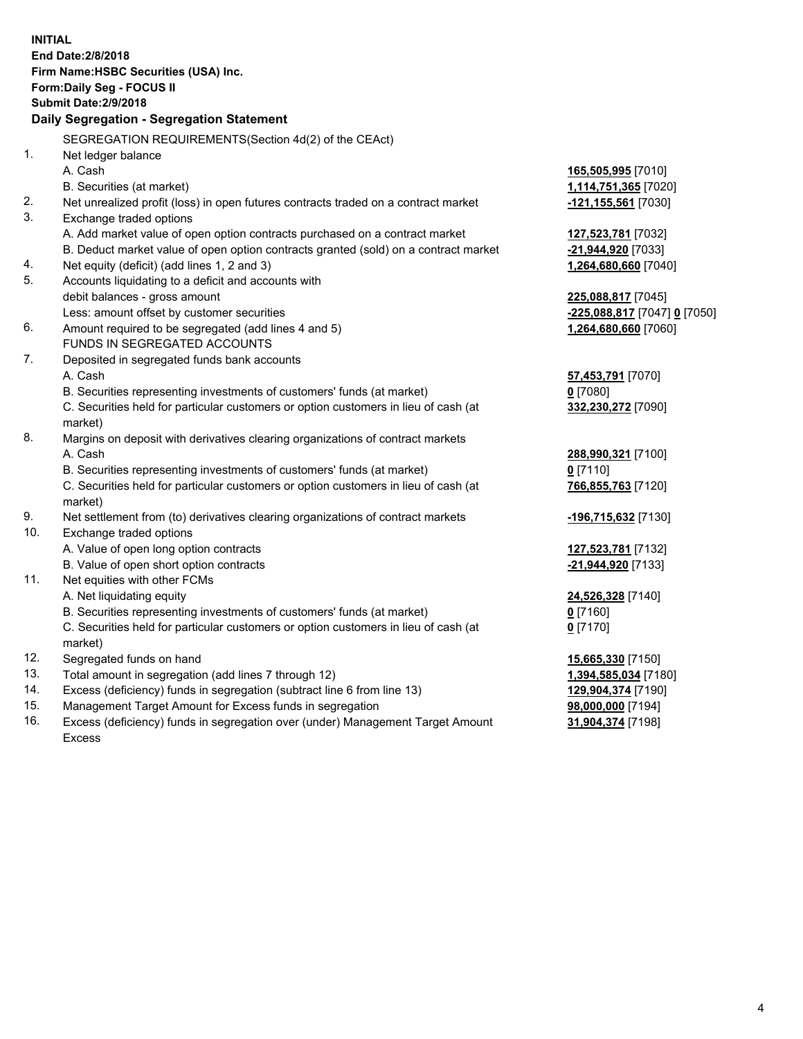| <b>INITIAL</b> | End Date: 2/8/2018<br>Firm Name: HSBC Securities (USA) Inc.<br>Form: Daily Seg - FOCUS II      |                              |  |  |  |  |
|----------------|------------------------------------------------------------------------------------------------|------------------------------|--|--|--|--|
|                | <b>Submit Date: 2/9/2018</b>                                                                   |                              |  |  |  |  |
|                | Daily Segregation - Segregation Statement                                                      |                              |  |  |  |  |
|                | SEGREGATION REQUIREMENTS(Section 4d(2) of the CEAct)                                           |                              |  |  |  |  |
| 1.             | Net ledger balance                                                                             |                              |  |  |  |  |
|                | A. Cash                                                                                        | 165,505,995 [7010]           |  |  |  |  |
|                | B. Securities (at market)                                                                      | 1,114,751,365 [7020]         |  |  |  |  |
| 2.             | Net unrealized profit (loss) in open futures contracts traded on a contract market             | -121,155,561 [7030]          |  |  |  |  |
| 3.             | Exchange traded options                                                                        |                              |  |  |  |  |
|                | A. Add market value of open option contracts purchased on a contract market                    | 127,523,781 [7032]           |  |  |  |  |
|                | B. Deduct market value of open option contracts granted (sold) on a contract market            | -21,944,920 [7033]           |  |  |  |  |
| 4.             | Net equity (deficit) (add lines 1, 2 and 3)                                                    | 1,264,680,660 [7040]         |  |  |  |  |
| 5.             | Accounts liquidating to a deficit and accounts with                                            |                              |  |  |  |  |
|                | debit balances - gross amount                                                                  | 225,088,817 [7045]           |  |  |  |  |
|                | Less: amount offset by customer securities                                                     | -225,088,817 [7047] 0 [7050] |  |  |  |  |
| 6.             | Amount required to be segregated (add lines 4 and 5)                                           | 1,264,680,660 [7060]         |  |  |  |  |
|                | FUNDS IN SEGREGATED ACCOUNTS                                                                   |                              |  |  |  |  |
| 7.             | Deposited in segregated funds bank accounts                                                    |                              |  |  |  |  |
|                | A. Cash                                                                                        | 57,453,791 [7070]            |  |  |  |  |
|                | B. Securities representing investments of customers' funds (at market)                         | $0$ [7080]                   |  |  |  |  |
|                | C. Securities held for particular customers or option customers in lieu of cash (at            | 332,230,272 [7090]           |  |  |  |  |
|                | market)                                                                                        |                              |  |  |  |  |
| 8.             | Margins on deposit with derivatives clearing organizations of contract markets                 |                              |  |  |  |  |
|                | A. Cash                                                                                        | 288,990,321 [7100]           |  |  |  |  |
|                | B. Securities representing investments of customers' funds (at market)                         | $0$ [7110]                   |  |  |  |  |
|                | C. Securities held for particular customers or option customers in lieu of cash (at<br>market) | 766,855,763 [7120]           |  |  |  |  |
| 9.             | Net settlement from (to) derivatives clearing organizations of contract markets                | -196,715,632 [7130]          |  |  |  |  |
| 10.            | Exchange traded options                                                                        |                              |  |  |  |  |
|                | A. Value of open long option contracts                                                         | 127,523,781 [7132]           |  |  |  |  |
|                | B. Value of open short option contracts                                                        | -21,944,920 [7133]           |  |  |  |  |
| 11.            | Net equities with other FCMs                                                                   |                              |  |  |  |  |
|                | A. Net liquidating equity                                                                      | 24,526,328 [7140]            |  |  |  |  |
|                | B. Securities representing investments of customers' funds (at market)                         | $0$ [7160]                   |  |  |  |  |
|                | C. Securities held for particular customers or option customers in lieu of cash (at<br>market) | $0$ [7170]                   |  |  |  |  |
| 12.            | Segregated funds on hand                                                                       | 15,665,330 [7150]            |  |  |  |  |
| 13.            | Total amount in segregation (add lines 7 through 12)                                           | 1,394,585,034 [7180]         |  |  |  |  |
| 14.            | Excess (deficiency) funds in segregation (subtract line 6 from line 13)                        | 129,904,374 [7190]           |  |  |  |  |
| 15.            | Management Target Amount for Excess funds in segregation                                       | 98,000,000 [7194]            |  |  |  |  |
| 16.            | Excess (deficiency) funds in segregation over (under) Management Target Amount                 | 31,904,374 [7198]            |  |  |  |  |

16. Excess (deficiency) funds in segregation over (under) Management Target Amount Excess